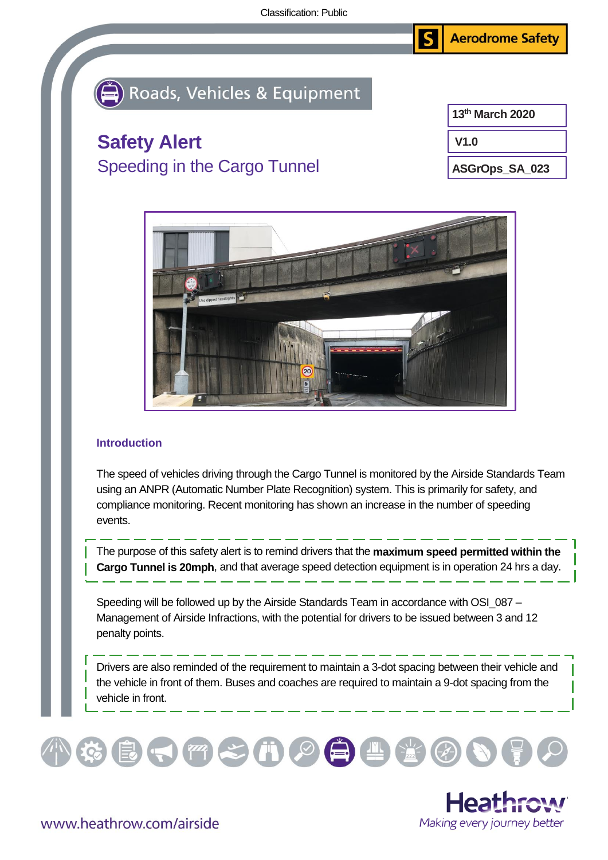**Aerodrome Safety** S

## Roads, Vehicles & Equipment

## **Safety Alert** Speeding in the Cargo Tunnel

**V1.0 13th March 2020**

**ASGrOps\_SA\_023**



## **Introduction**

The speed of vehicles driving through the Cargo Tunnel is monitored by the Airside Standards Team using an ANPR (Automatic Number Plate Recognition) system. This is primarily for safety, and compliance monitoring. Recent monitoring has shown an increase in the number of speeding events.

The purpose of this safety alert is to remind drivers that the **maximum speed permitted within the Cargo Tunnel is 20mph**, and that average speed detection equipment is in operation 24 hrs a day.

Speeding will be followed up by the Airside Standards Team in accordance with OSI\_087 – Management of Airside Infractions, with the potential for drivers to be issued between 3 and 12 penalty points.

Drivers are also reminded of the requirement to maintain a 3-dot spacing between their vehicle and the vehicle in front of them. Buses and coaches are required to maintain a 9-dot spacing from the vehicle in front.





www.heathrow.com/airside